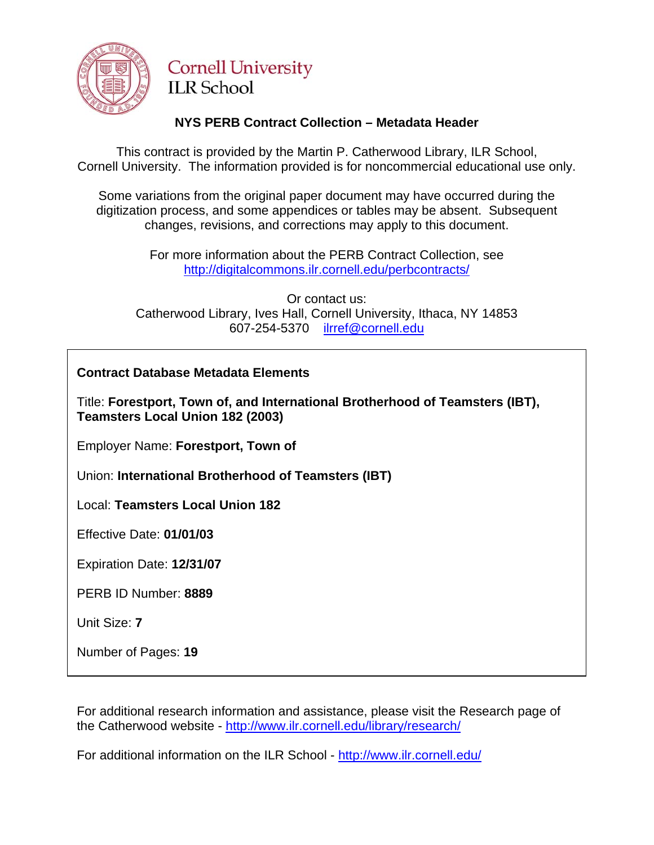

# **Cornell University ILR** School

## **NYS PERB Contract Collection – Metadata Header**

This contract is provided by the Martin P. Catherwood Library, ILR School, Cornell University. The information provided is for noncommercial educational use only.

Some variations from the original paper document may have occurred during the digitization process, and some appendices or tables may be absent. Subsequent changes, revisions, and corrections may apply to this document.

> For more information about the PERB Contract Collection, see http://digitalcommons.ilr.cornell.edu/perbcontracts/

Or contact us: Catherwood Library, Ives Hall, Cornell University, Ithaca, NY 14853 607-254-5370 [ilrref@cornell.edu](mailto:ilrref@cornell.edu)

## **Contract Database Metadata Elements**

Title: **Forestport, Town of, and International Brotherhood of Teamsters (IBT), Teamsters Local Union 182 (2003)** 

Employer Name: **Forestport, Town of** 

Union: **International Brotherhood of Teamsters (IBT)** 

Local: **Teamsters Local Union 182**

Effective Date: **01/01/03**

Expiration Date: **12/31/07** 

PERB ID Number: **8889**

Unit Size: **7** 

Number of Pages: **19** 

For additional research information and assistance, please visit the Research page of the Catherwood website -<http://www.ilr.cornell.edu/library/research/>

For additional information on the ILR School - <http://www.ilr.cornell.edu/>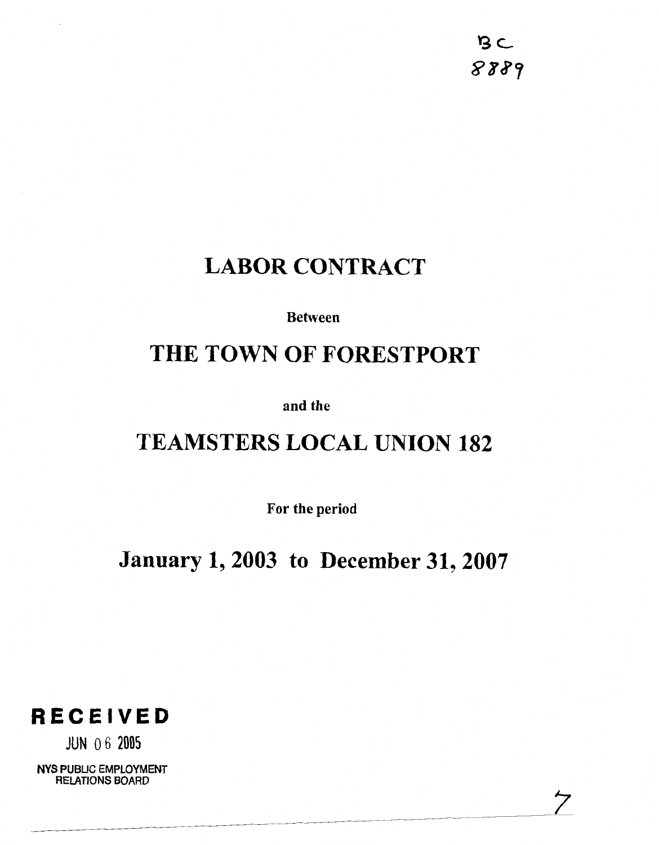$B$ 8889

ク

# **LABOR CONTRACT**

**Between** 

# **THE TOWN OF FORESTPORT**

**and the** 

# **TEAMSTERS LOCAL UNION 182**

**For the period** 

**January 1,2003 to December 31,2007** 



JUN 0 6 **2005** 

**NYS PUBLIC EMPLOYMENT RELATIONS BOARD**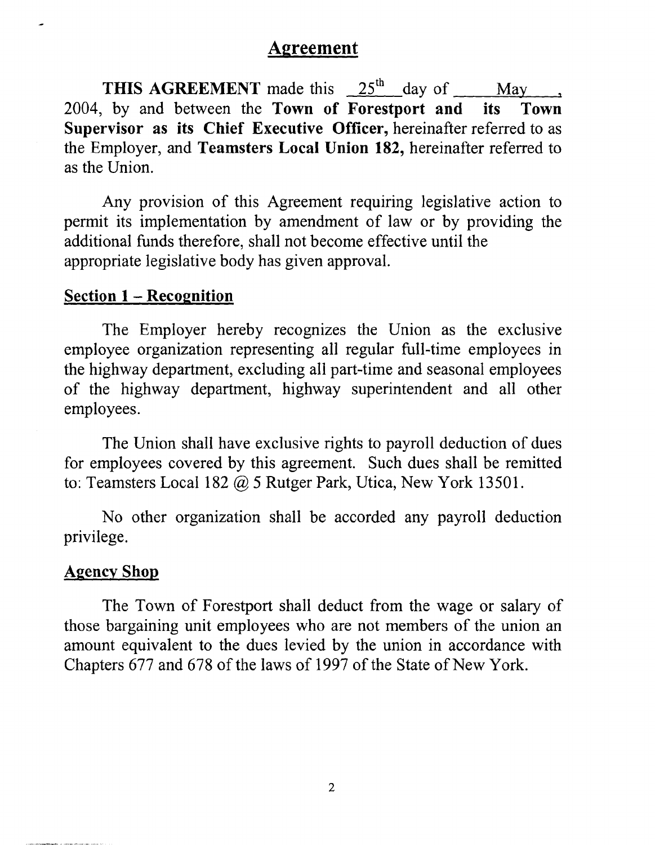# **Agreement**

**THIS AGREEMENT** made this  $25<sup>th</sup>$  day of May 2004, by and between the **Town of Forestport and its Town Supervisor as its Chief Executive Officer,** hereinafter referred to as the Employer, and **Teamsters Local Union 182,** hereinafter referred to as the Union.

Any provision of this Agreement requiring legislative action to permit its implementation by amendment of law or by providing the additional funds therefore, shall not become effective until the appropriate legislative body has given approval.

## **Section 1** - **Recognition**

The Employer hereby recognizes the Union as the exclusive employee organization representing all regular full-time employees in the highway department, excluding all part-time and seasonal employees of the highway department, highway superintendent and all other employees.

The Union shall have exclusive rights to payroll deduction of dues for employees covered by this agreement. Such dues shall be remitted to: Teamsters Local 182 @ 5 Rutger Park, Utica, New York 13501.

No other organization shall be accorded any payroll deduction privilege.

# **Agency Shop**

The Town of Forestport shall deduct from the wage or salary of those bargaining unit employees who are not members of the union an amount equivalent to the dues levied by the union in accordance with Chapters 677 and 678 of the laws of 1997 of the State of New York.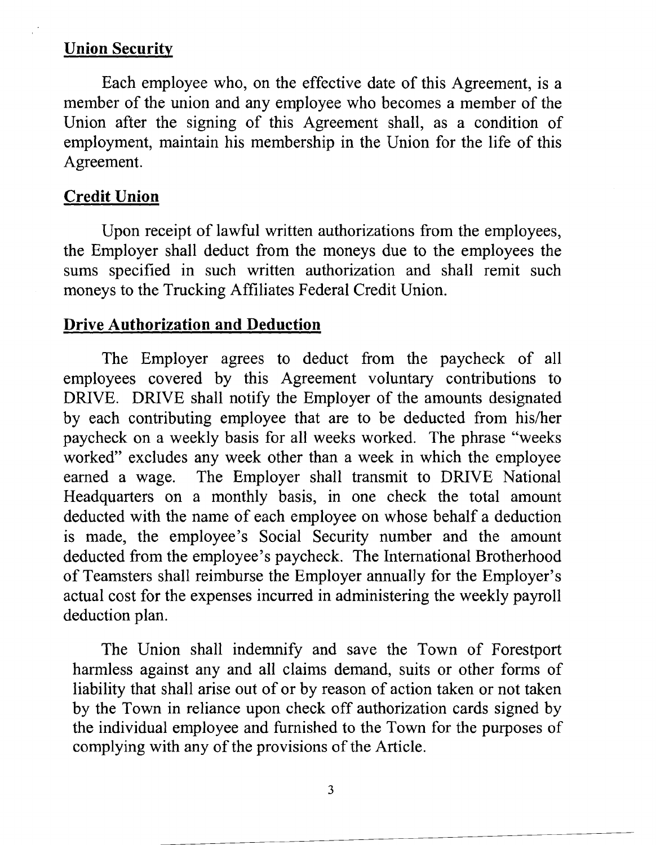# **Union Security**

Each employee who, on the effective date of this Agreement, is a member of the union and any employee who becomes a member of the Union after the signing of this Agreement shall, as a condition of employment, maintain his membership in the Union for the life of this Agreement.

# **Credit Union**

Upon receipt of lawful written authorizations from the employees, the Employer shall deduct from the moneys due to the employees the sums specified in such written authorization and shall remit such moneys to the Trucking Affiliates Federal Credit Union.

# **Drive Authorization and Deduction**

The Employer agrees to deduct from the paycheck of all employees covered by this Agreement voluntary contributions to DRIVE. DRIVE shall notify the Employer of the amounts designated by each contributing employee that are to be deducted from his/her paycheck on a weekly basis for all weeks worked. The phrase "weeks worked" excludes any week other than a week in which the employee earned a wage. The Employer shall transmit to DRIVE National Headquarters on a monthly basis, in one check the total amount deducted with the name of each employee on whose behalf a deduction is made, the employee's Social Security number and the amount deducted from the employee's paycheck. The International Brotherhood of Teamsters shall reimburse the Employer annually for the Employer's actual cost for the expenses incurred in administering the weekly payroll deduction plan.

The Union shall indemnify and save the Town of Forestport harmless against any and all claims demand, suits or other forms of liability that shall arise out of or by reason of action taken or not taken by the Town in reliance upon check off authorization cards signed by the individual employee and furnished to the Town for the purposes of complying with any of the provisions of the Article.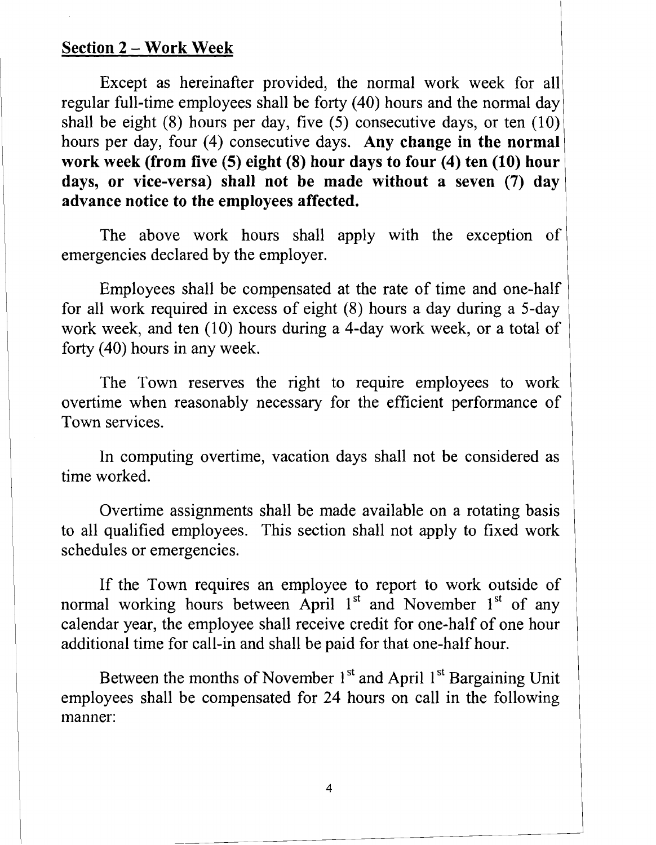#### **Section 2** - **Work Week**

Except as hereinafter provided, the normal work week for all regular full-time employees shall be forty (40) hours and the normal day shall be eight  $(8)$  hours per day, five  $(5)$  consecutive days, or ten  $(10)$ hours per day, four (4) consecutive days. **Any change in the normal work week (from five (5) eight (8) hour days to four (4) ten (10) hour days, or vice-versa) shall not be made without a seven (7) day advance notice to the employees affected.** 

The above work hours shall apply with the exception of emergencies declared by the employer.

Employees shall be compensated at the rate of time and one-half for all work required in excess of eight (8) hours a day during a 5-day work week, and ten (10) hours during a 4-day work week, or a total of forty (40) hours in any week.

The Town reserves the right to require employees to work overtime when reasonably necessary for the efficient performance of Town services.

In computing overtime, vacation days shall not be considered as time worked.

Overtime assignments shall be made available on a rotating basis to all qualified employees. This section shall not apply to fixed work schedules or emergencies.

If the Town requires an employee to report to work outside of normal working hours between April  $1<sup>st</sup>$  and November  $1<sup>st</sup>$  of any calendar year, the employee shall receive credit for one-half of one hour additional time for call-in and shall be paid for that one-half hour.

Between the months of November 1<sup>st</sup> and April 1<sup>st</sup> Bargaining Unit employees shall be compensated for 24 hours on call in the following manner:

 $\overline{4}$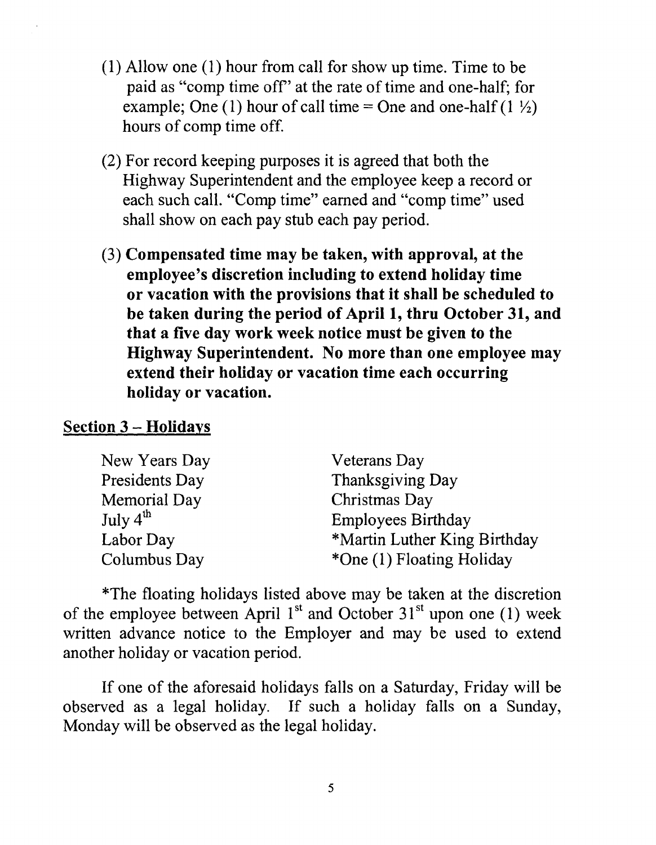- (1) Allow one (1) hour from call for show up time. Time to be paid as "comp time off' at the rate of time and one-half; for example; One (1) hour of call time = One and one-half (1  $\frac{1}{2}$ ) hours of comp time off.
- (2) For record keeping purposes it is agreed that both the Highway Superintendent and the employee keep a record or each such call. "Comp time" earned and "comp time" used shall show on each pay stub each pay period.
- (3) Compensated time may be taken, with approval, at the employee's discretion including to extend holiday time or vacation with the provisions that it shall be scheduled to be taken during the period of April 1, thru October 31, and that a five day work week notice must be given to the Highway Superintendent. No more than one employee may extend their holiday or vacation time each occurring holiday or vacation.

## Section 3 - Holidays

| New Years Day        | <b>Veterans</b> Day          |
|----------------------|------------------------------|
| Presidents Day       | Thanksgiving Day             |
| Memorial Day         | Christmas Day                |
| July $4^{\text{th}}$ | <b>Employees Birthday</b>    |
| Labor Day            | *Martin Luther King Birthday |
| Columbus Day         | *One (1) Floating Holiday    |

\*The floating holidays listed above may be taken at the discretion of the employee between April  $1<sup>st</sup>$  and October  $31<sup>st</sup>$  upon one (1) week written advance notice to the Employer and may be used to extend another holiday or vacation period.

If one of the aforesaid holidays falls on a Saturday, Friday will be observed as a legal holiday. If such a holiday falls on a Sunday, Monday will be observed as the legal holiday.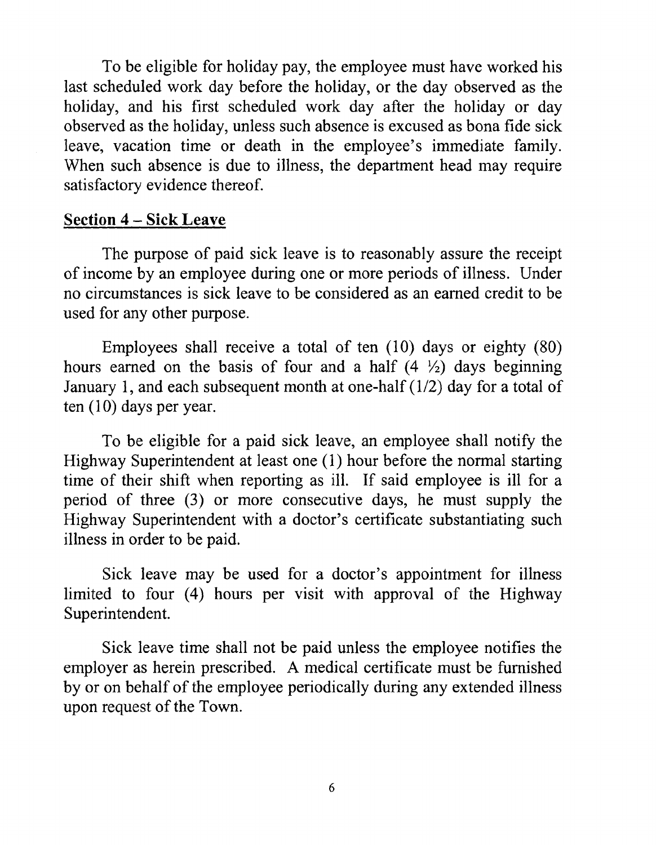To be eligible for holiday pay, the employee must have worked his last scheduled work day before the holiday, or the day observed as the holiday, and his first scheduled work day after the holiday or day observed as the holiday, unless such absence is excused as bona fide sick leave, vacation time or death in the employee's immediate family. When such absence is due to illness, the department head may require satisfactory evidence thereof.

# **Section 4** - **Sick Leave**

The purpose of paid sick leave is to reasonably assure the receipt of income by an employee during one or more periods of illness. Under no circumstances is sick leave to be considered as an earned credit to be used for any other purpose.

Employees shall receive a total of ten (10) days or eighty (80) hours earned on the basis of four and a half  $(4 \frac{1}{2})$  days beginning January 1, and each subsequent month at one-half  $(1/2)$  day for a total of ten  $(10)$  days per year.

To be eligible for a paid sick leave, an employee shall notify the Highway Superintendent at least one (1) hour before the normal starting time of their shift when reporting as ill. If said employee is ill for a period of three (3) or more consecutive days, he must supply the Highway Superintendent with a doctor's certificate substantiating such illness in order to be paid.

Sick leave may be used for a doctor's appointment for illness limited to four (4) hours per visit with approval of the Highway Superintendent.

Sick leave time shall not be paid unless the employee notifies the employer as herein prescribed. A medical certificate must be furnished by or on behalf of the employee periodically during any extended illness upon request of the Town.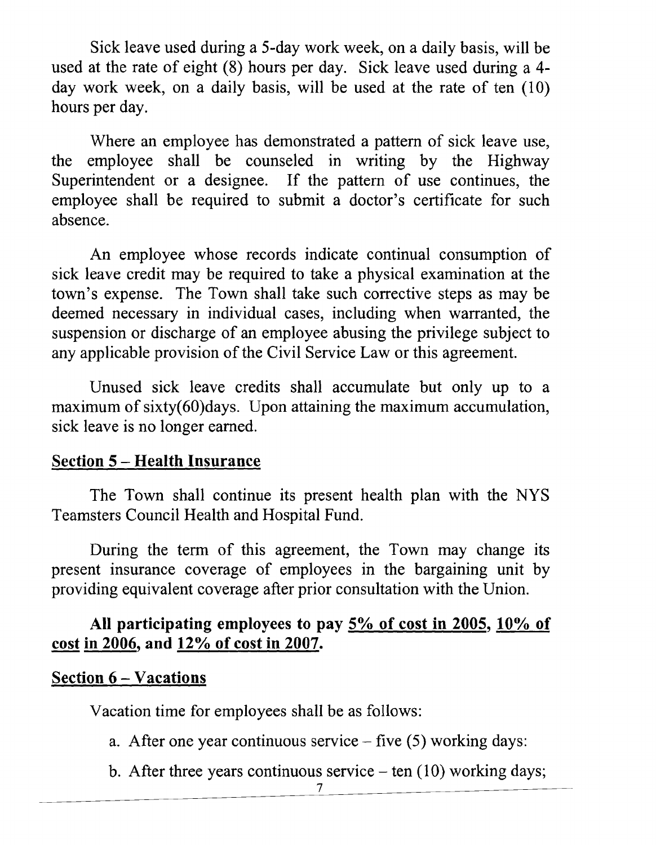Sick leave used during a 5-day work week, on a daily basis, will be used at the rate of eight (8) hours per day. Sick leave used during a 4 day work week, on a daily basis, will be used at the rate of ten (10) hours per day.

Where an employee has demonstrated a pattern of sick leave use, the employee shall be counseled in writing by the Highway Superintendent or a designee. If the pattern of use continues, the employee shall be required to submit a doctor's certificate for such absence.

An employee whose records indicate continual consumption of sick leave credit may be required to take a physical examination at the town's expense. The Town shall take such corrective steps as may be deemed necessary in individual cases, including when warranted, the suspension or discharge of an employee abusing the privilege subject to any applicable provision of the Civil Service Law or this agreement.

Unused sick leave credits shall accumulate but only up to a maximum of sixty(60)days. Upon attaining the maximum accumulation, sick leave is no longer earned.

## **Section 5** - **Health Insurance**

The Town shall continue its present health plan with the NYS Teamsters Council Health and Hospital Fund.

During the term of this agreement, the Town may change its present insurance coverage of employees in the bargaining unit by providing equivalent coverage after prior consultation with the Union.

# **All participating employees to pay 5% of cost in 2005, 10% of**  present insurance coverage of employ<br>providing equivalent coverage after prior<br>All participating employees to p.<br>cost in 2006, and 12% of cost in 2007.

# **Section 6** - **Vacations**

Vacation time for employees shall be as follows:

- a. After one year continuous service five *(5)* working days:
- b. After three years continuous service  $-$  ten (10) working days;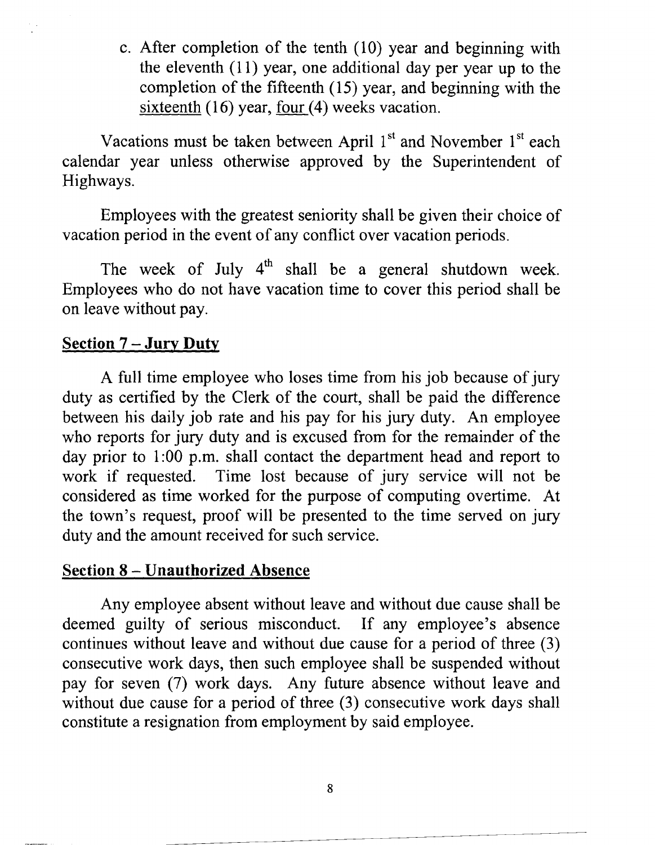c. After completion of the tenth (10) year and beginning with the eleventh  $(11)$  year, one additional day per year up to the completion of the fifteenth (15) year, and beginning with the sixteenth (16) year, four (4) weeks vacation.

Vacations must be taken between April  $1<sup>st</sup>$  and November  $1<sup>st</sup>$  each calendar year unless otherwise approved by the Superintendent of Highways.

Employees with the greatest seniority shall be given their choice of vacation period in the event of any conflict over vacation periods.

The week of July  $4<sup>th</sup>$  shall be a general shutdown week. Employees who do not have vacation time to cover this period shall be on leave without pay.

# **Section 7** - **Jury Duty**

A full time employee who loses time from his job because of jury duty as certified by the Clerk of the court, shall be paid the difference between his daily job rate and his pay for his jury duty. An employee who reports for jury duty and is excused from for the remainder of the day prior to 1:00 p.m. shall contact the department head and report to work if requested. Time lost because of jury service will not be considered as time worked for the purpose of computing overtime. At the town's request, proof will be presented to the time served on jury duty and the amount received for such service.

# **Section 8** - **Unauthorized Absence**

Any employee absent without leave and without due cause shall be deemed guilty of serious misconduct. If any employee's absence continues without leave and without due cause for a period of three (3) consecutive work days, then such employee shall be suspended without pay for seven (7) work days. Any future absence without leave and without due cause for a period of three (3) consecutive work days shall constitute a resignation from employment by said employee.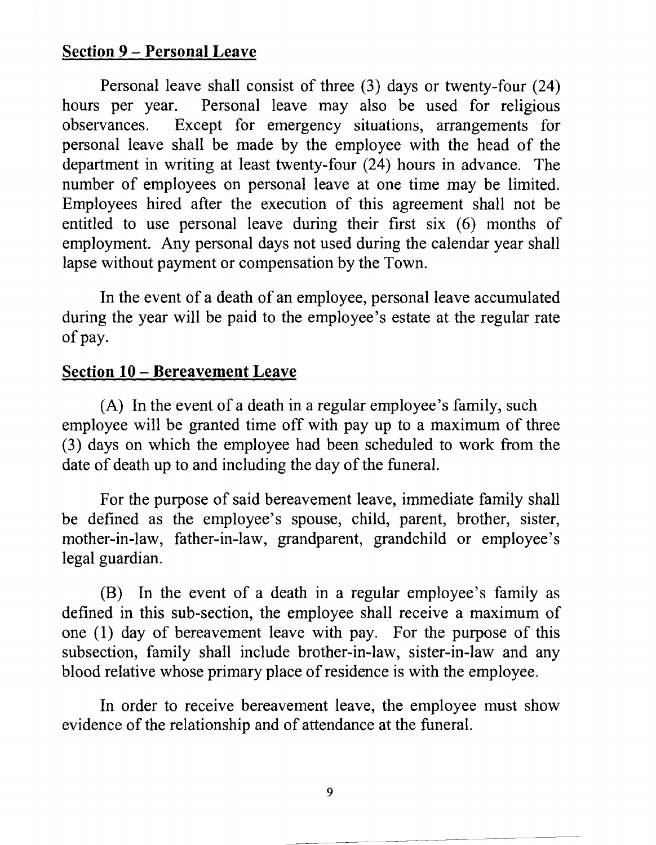# **Section 9** - **Personal Leave**

Personal leave shall consist of three (3) days or twenty-four (24) hours per year. Personal leave may also be used for religious observances. Except for emergency situations, arrangements for personal leave shall be made by the employee with the head of the department in writing at least twenty-four (24) hours in advance. The number of employees on personal leave at one time may be limited. Employees hired after the execution of this agreement shall not be entitled to use personal leave during their first six (6) months of employment. Any personal days not used during the calendar year shall lapse without payment or compensation by the Town.

In the event of a death of an employee, personal leave accumulated during the year will be paid to the employee's estate at the regular rate of pay.

# **Section 10** - **Bereavement Leave**

(A) In the event of a death in a regular employee's family, such employee will be granted time off with pay up to a maximum of three (3) days on which the employee had been scheduled to work from the date of death up to and including the day of the funeral.

For the purpose of said bereavement leave, immediate family shall be defined as the employee's spouse, child, parent, brother, sister, mother-in-law, father-in-law, grandparent, grandchild or employee's legal guardian.

(B) In the event of a death in a regular employee's family as defined in this sub-section, the employee shall receive a maximum of one (1) day of bereavement leave with pay. For the purpose of this subsection, family shall include brother-in-law, sister-in-law and any blood relative whose primary place of residence is with the employee.

In order to receive bereavement leave, the employee must show evidence of the relationship and of attendance at the funeral.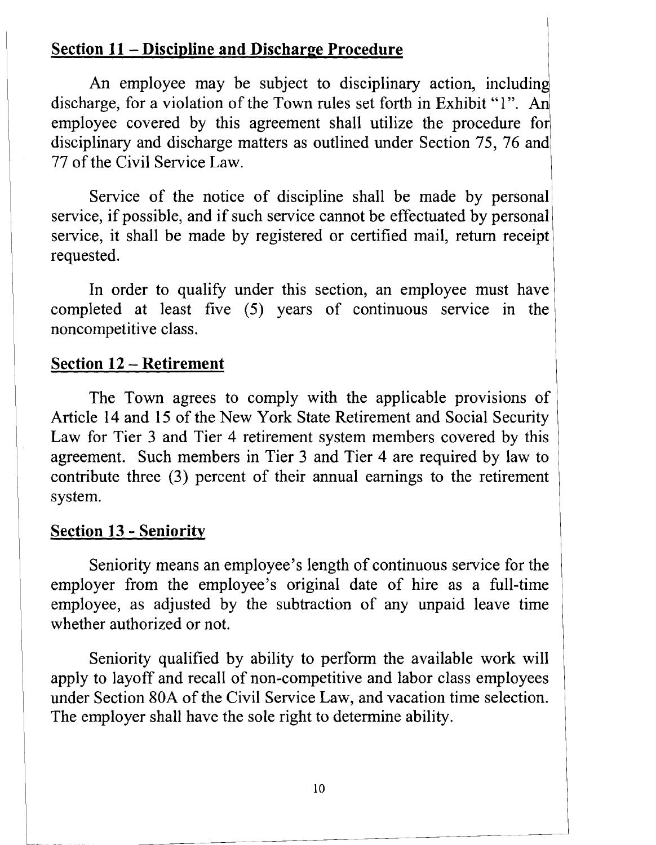# **Section 11** - **Discipline and Discharge Procedure**

An employee may be subject to disciplinary action, including discharge, for a violation of the Town rules set forth in Exhibit "1". An employee covered by this agreement shall utilize the procedure for disciplinary and discharge matters as outlined under Section 75, 76 and 77 of the Civil Service Law.

Service of the notice of discipline shall be made by personal service, if possible, and if such service cannot be effectuated by personal service, it shall be made by registered or certified mail, return receipt requested.

In order to qualify under this section, an employee must have completed at least five (5) years of continuous service in the noncompetitive class.

# **Section 12** - **Retirement**

The Town agrees to comply with the applicable provisions of Article 14 and 15 of the New York State Retirement and Social Security Law for Tier 3 and Tier 4 retirement system members covered by this agreement. Such members in Tier 3 and Tier 4 are required by law to contribute three (3) percent of their annual earnings to the retirement system.

# **Section 13** - **Seniority**

Seniority means an employee's length of continuous service for the <sup>1</sup> employer from the employee's original date of hire as a full-time employee, as adjusted by the subtraction of any unpaid leave time whether authorized or not.

Seniority qualified by ability to perform the available work will apply to layoff and recall of non-competitive and labor class employees under Section 80A of the Civil Service Law, and vacation time selection. The employer shall have the sole right to determine ability.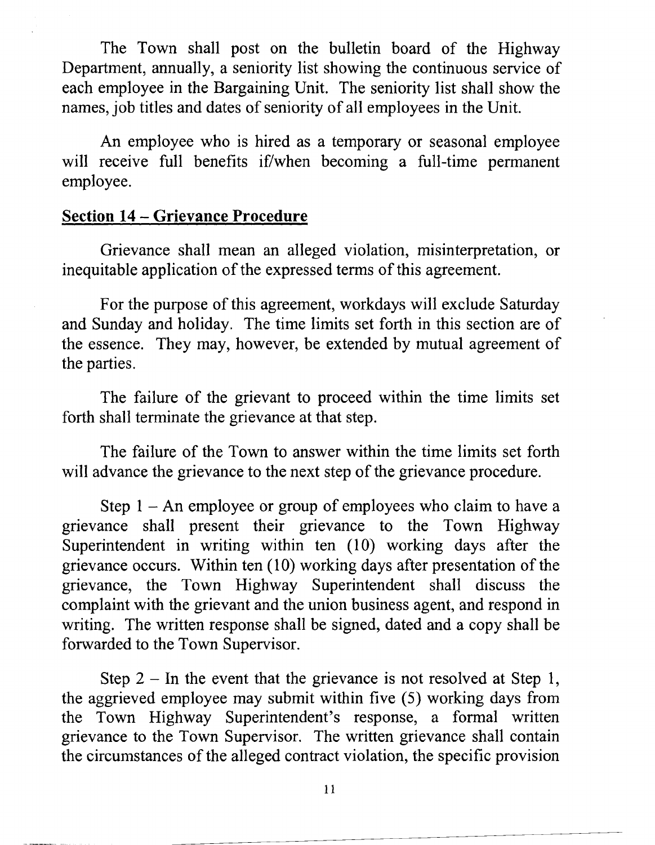The Town shall post on the bulletin board of the Highway Department, annually, a seniority list showing the continuous service of each employee in the Bargaining Unit. The seniority list shall show the names, job titles and dates of seniority of all employees in the Unit.

An employee who is hired as a temporary or seasonal employee will receive full benefits if/when becoming a full-time permanent employee.

# **Section 14** - **Grievance Procedure**

Grievance shall mean an alleged violation, misinterpretation, or inequitable application of the expressed terms of this agreement.

For the purpose of this agreement, workdays will exclude Saturday and Sunday and holiday. The time limits set forth in this section are of the essence. They may, however, be extended by mutual agreement of the parties.

The failure of the grievant to proceed within the time limits set forth shall terminate the grievance at that step.

The failure of the Town to answer within the time limits set forth will advance the grievance to the next step of the grievance procedure.

Step  $1 - An$  employee or group of employees who claim to have a grievance shall present their grievance to the Town Highway Superintendent in writing within ten (10) working days after the grievance occurs. Within ten (10) working days after presentation of the grievance, the Town Highway Superintendent shall discuss the complaint with the grievant and the union business agent, and respond in writing. The written response shall be signed, dated and a copy shall be forwarded to the Town Supervisor.

Step  $2 - \text{In the event that the grievance is not resolved at Step 1,}$ the aggrieved employee may submit within five (5) working days from the Town Highway Superintendent's response, a formal written grievance to the Town Supervisor. The written grievance shall contain the circumstances of the alleged contract violation, the specific provision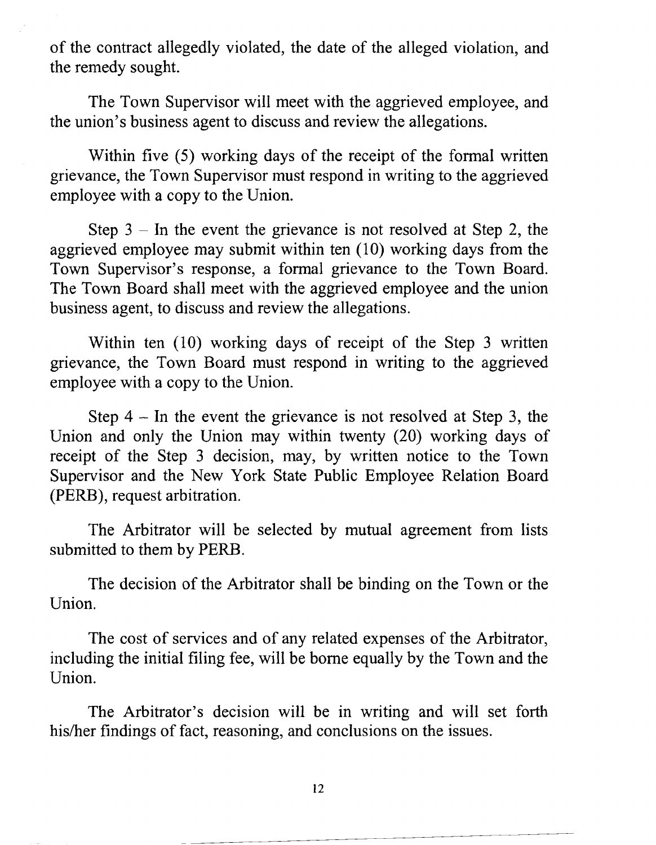of the contract allegedly violated, the date of the alleged violation, and the remedy sought.

The Town Supervisor will meet with the aggrieved employee, and the union's business agent to discuss and review the allegations.

Within five (5) working days of the receipt of the formal written grievance, the Town Supervisor must respond in writing to the aggrieved employee with a copy to the Union.

Step  $3 - \text{In the event the grievance is not resolved at Step 2, the}$ aggrieved employee may submit within ten (10) working days from the Town Supervisor's response, a formal grievance to the Town Board. The Town Board shall meet with the aggrieved employee and the union business agent, to discuss and review the allegations.

Within ten (10) working days of receipt of the Step 3 written grievance, the Town Board must respond in writing to the aggrieved employee with a copy to the Union.

Step  $4 - \text{In the event the}$  grievance is not resolved at Step 3, the Union and only the Union may within twenty (20) working days of receipt of the Step 3 decision, may, by written notice to the Town Supervisor and the New York State Public Employee Relation Board (PERB), request arbitration.

The Arbitrator will be selected by mutual agreement from lists submitted to them by PERB.

The decision of the Arbitrator shall be binding on the Town or the Union.

The cost of services and of any related expenses of the Arbitrator, including the initial filing fee, will be borne equally by the Town and the Union.

The Arbitrator's decision will be in writing and will set forth his/her findings of fact, reasoning, and conclusions on the issues.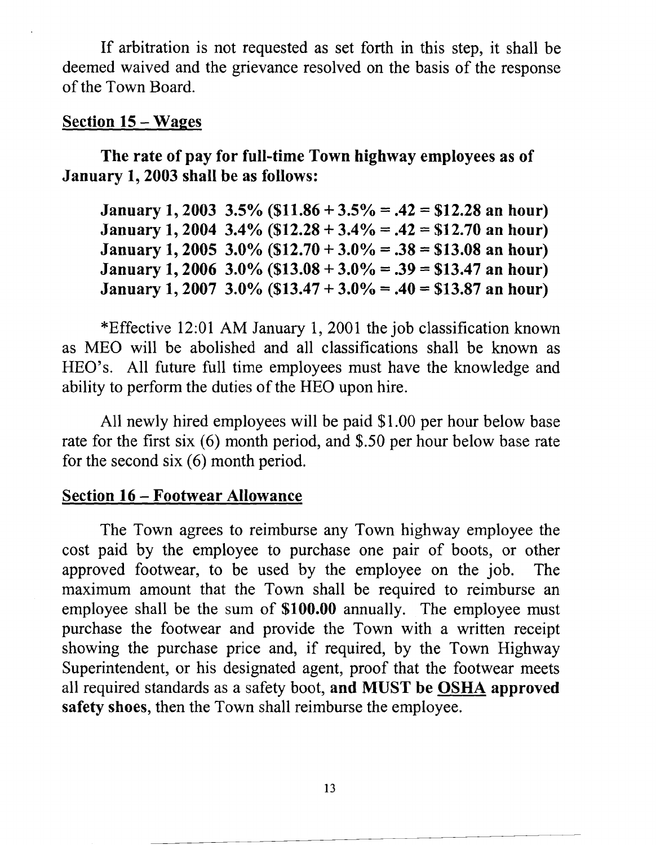If arbitration is not requested as set forth in this step, it shall be deemed waived and the grievance resolved on the basis of the response of the Town Board.

# **Section 15 – Wages**

**The rate of pay for full-time Town highway employees as of January 1,2003 shall be as follows:** 

**January 1,2003 3.5% (\$11.86** + **3.5%** = **.42** = **\$12.28 an hour) January 1,2004 3.4% (\$12.28** + **3.4%** = **.42** = **\$12.70 an hour) January 1,2005 3.0% (\$12.70** + **3.0%** = **.38** = **\$13.08 an hour) January 1,2006 3.0% (\$13.08** + **3.0%** = **.39** = **\$13.47 an hour) January 1,2007 3.0% (\$13.47** + **3.0%** = **.40** = **\$13.87 an hour)** 

\*Effective 12:01 AM January 1, 2001 the job classification known as ME0 will be abolished and all classifications shall be known as HEO's. All future full time employees must have the knowledge and ability to perform the duties of the HE0 upon hire.

All newly hired employees will be paid \$1.00 per hour below base rate for the first six  $(6)$  month period, and \$.50 per hour below base rate for the second six (6) month period.

# **Section 16** - **Footwear Allowance**

The Town agrees to reimburse any Town highway employee the cost paid by the employee to purchase one pair of boots, or other approved footwear, to be used by the employee on the job. The maximum amount that the Town shall be required to reimburse an employee shall be the sum of **\$100.00** annually. The employee must purchase the footwear and provide the Town with a written receipt showing the purchase price and, if required, by the Town Highway Superintendent, or his designated agent, proof that the footwear meets all required standards as a safety boot, **and** MUST **be OSHA approved safety shoes,** then the Town shall reimburse the employee.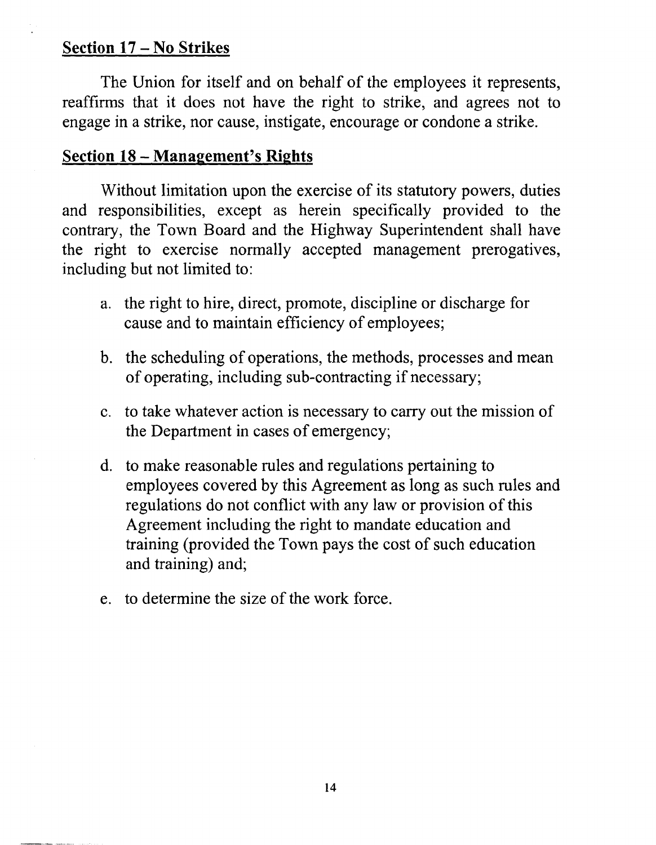# **Section 17** - **No Strikes**

The Union for itself and on behalf of the employees it represents, reaffirms that it does not have the right to strike, and agrees not to engage in a strike, nor cause, instigate, encourage or condone a strike.

# **Section 18** - **Management's Rights**

Without limitation upon the exercise of its statutory powers, duties and responsibilities, except as herein specifically provided to the contrary, the Town Board and the Highway Superintendent shall have the right to exercise normally accepted management prerogatives, including but not limited to:

- a. the right to hire, direct, promote, discipline or discharge for cause and to maintain efficiency of employees;
- b. the scheduling of operations, the methods, processes and mean of operating, including sub-contracting if necessary;
- c. to take whatever action is necessary to carry out the mission of the Department in cases of emergency;
- d. to make reasonable rules and regulations pertaining to employees covered by this Agreement as long as such rules and regulations do not conflict with any law or provision of this Agreement including the right to mandate education and training (provided the Town pays the cost of such education and training) and;
- e. to determine the size of the work force.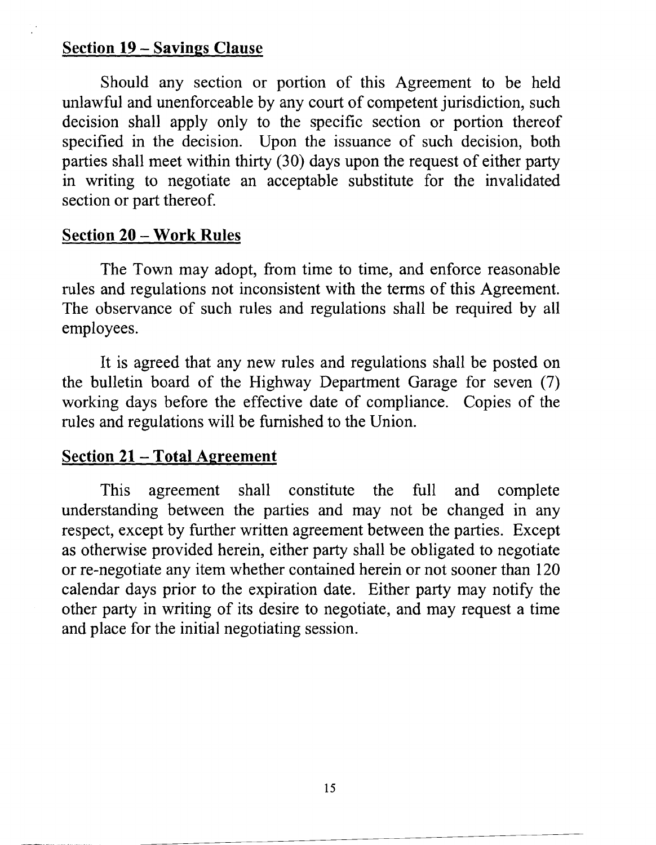# **Section 19** - **Savings Clause**

Should any section or portion of this Agreement to be held unlawful and unenforceable by any court of competent jurisdiction, such decision shall apply only to the specific section or portion thereof specified in the decision. Upon the issuance of such decision, both parties shall meet within thirty (30) days upon the request of either party in writing to negotiate an acceptable substitute for the invalidated section or part thereof.

## **Section 20** - **Work Rules**

The Town may adopt, from time to time, and enforce reasonable rules and regulations not inconsistent with the terms of this Agreement. The observance of such rules and regulations shall be required by all employees.

It is agreed that any new rules and regulations shall be posted on the bulletin board of the Highway Department Garage for seven (7) working days before the effective date of compliance. Copies of the rules and regulations will be furnished to the Union.

# **<u>Section 21 – Total Agreement</u>**

This agreement shall constitute the full and complete understanding between the parties and may not be changed in any respect, except by further written agreement between the parties. Except as otherwise provided herein, either party shall be obligated to negotiate or re-negotiate any item whether contained herein or not sooner than 120 calendar days prior to the expiration date. Either party may notify the other party in writing of its desire to negotiate, and may request a time and place for the initial negotiating session.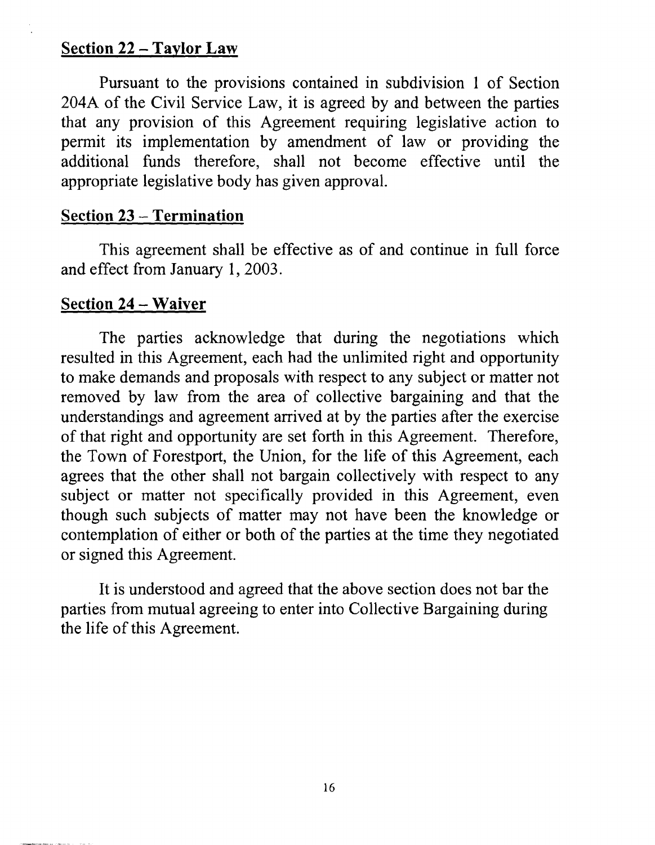# **Section 22** - **Taylor Law**

Pursuant to the provisions contained in subdivision 1 of Section 204A of the Civil Service Law, it is agreed by and between the parties that any provision of this Agreement requiring legislative action to permit its implementation by amendment of law or providing the additional funds therefore, shall not become effective until the appropriate legislative body has given approval.

# **Section 23** - **Termination**

This agreement shall be effective as of and continue in full force and effect from January 1,2003.

# **Section 24** - **Waiver**

The parties acknowledge that during the negotiations which resulted in this Agreement, each had the unlimited right and opportunity to make demands and proposals with respect to any subject or matter not removed by law from the area of collective bargaining and that the understandings and agreement arrived at by the parties after the exercise of that right and opportunity are set forth in this Agreement. Therefore, the Town of Forestport, the Union, for the life of this Agreement, each agrees that the other shall not bargain collectively with respect to any subject or matter not specifically provided in this Agreement, even though such subjects of matter may not have been the knowledge or contemplation of either or both of the parties at the time they negotiated or signed this Agreement.

It is understood and agreed that the above section does not bar the parties from mutual agreeing to enter into Collective Bargaining during the life of this Agreement.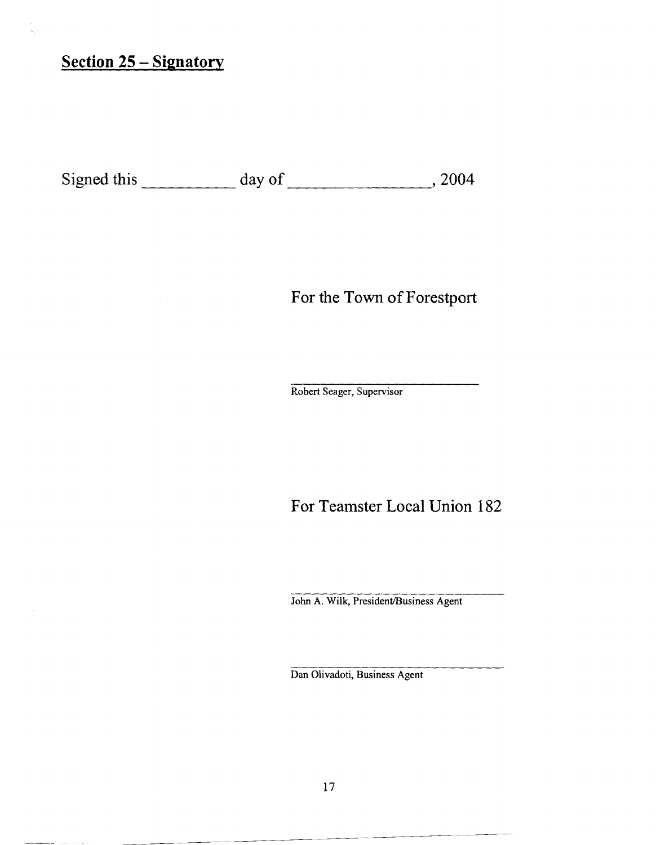# **Section 25** - **Signatory**

 $\sim$  0.00  $\mu$  ,  $\sim$  .

Signed this  $\frac{day \text{ of } 2004}{x}$ 

For the Town of Forestport

Robert Seager, Supervisor

For Teamster Local Union 182

John A. Wilk, President/Business Agent

Dan Olivadoti, Business Agent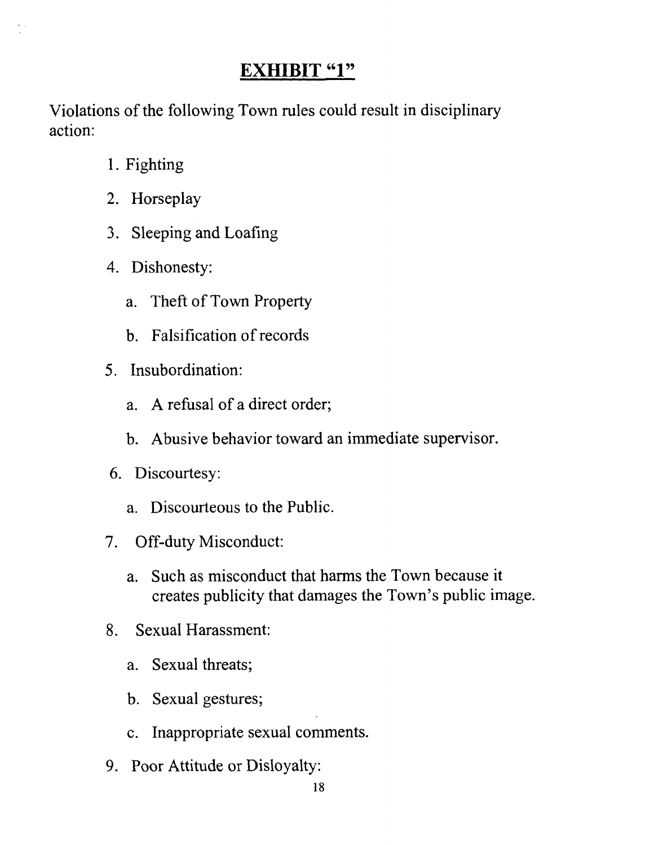# **EXHIBIT "1"**

Violations of the following Town rules could result in disciplinary action:

- 1. Fighting
- 2. Horseplay
- 3. Sleeping and Loafing
- 4. Dishonesty:
	- a. Theft of Town Property
	- b. Falsification of records
- 5. Insubordination:
	- a. A refusal of a direct order;
	- b. Abusive behavior toward an immediate supervisor.
- 6. Discourtesy:
	- a. Discourteous to the Public.
- 7. Off-duty Misconduct:
	- a. Such as misconduct that harms the Town because it creates publicity that damages the Town's public image.
- 8. Sexual Harassment:
	- a. Sexual threats;
	- b. Sexual gestures;
	- c. Inappropriate sexual comments.
- 9. Poor Attitude or Disloyalty: